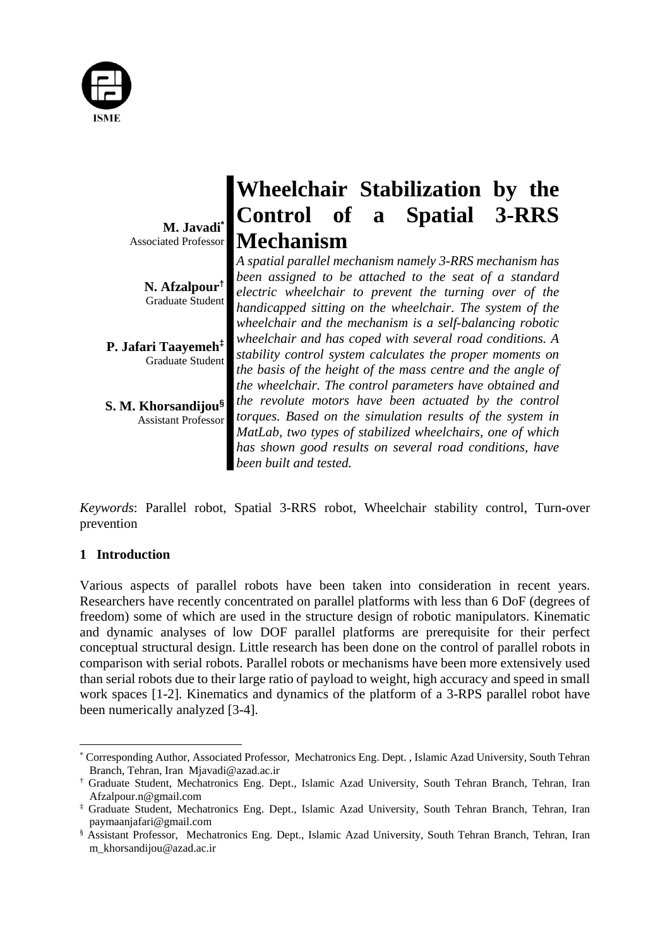

**M. Javadi\*** Associated Professor

> **N. Afzalpour†** Graduate Student

**P. Jafari Taayemeh‡** Graduate Student

**S. M. Khorsandijou§** Assistant Professor

# **Wheelchair Stabilization by the Control of a Spatial 3-RRS Mechanism**

*A spatial parallel mechanism namely 3-RRS mechanism has been assigned to be attached to the seat of a standard electric wheelchair to prevent the turning over of the handicapped sitting on the wheelchair. The system of the wheelchair and the mechanism is a self-balancing robotic wheelchair and has coped with several road conditions. A stability control system calculates the proper moments on the basis of the height of the mass centre and the angle of the wheelchair. The control parameters have obtained and the revolute motors have been actuated by the control torques. Based on the simulation results of the system in MatLab, two types of stabilized wheelchairs, one of which has shown good results on several road conditions, have been built and tested.*

*Keywords*: Parallel robot, Spatial 3-RRS robot, Wheelchair stability control, Turn-over prevention

# **1 Introduction**

Various aspects of parallel robots have been taken into consideration in recent years. Researchers have recently concentrated on parallel platforms with less than 6 DoF (degrees of freedom) some of which are used in the structure design of robotic manipulators. Kinematic and dynamic analyses of low DOF parallel platforms are prerequisite for their perfect conceptual structural design. Little research has been done on the control of parallel robots in comparison with serial robots. Parallel robots or mechanisms have been more extensively used than serial robots due to their large ratio of payload to weight, high accuracy and speed in small work spaces [1-2]. Kinematics and dynamics of the platform of a 3-RPS parallel robot have been numerically analyzed [3-4].

 \* Corresponding Author, Associated Professor, Mechatronics Eng. Dept. , Islamic Azad University, South Tehran Branch, Tehran, Iran Mjavadi@azad.ac.ir

<sup>†</sup> Graduate Student, Mechatronics Eng. Dept., Islamic Azad University, South Tehran Branch, Tehran, Iran Afzalpour.n@gmail.com

<sup>‡</sup> Graduate Student, Mechatronics Eng. Dept., Islamic Azad University, South Tehran Branch, Tehran, Iran paymaanjafari@gmail.com

<sup>§</sup> Assistant Professor, Mechatronics Eng. Dept., Islamic Azad University, South Tehran Branch, Tehran, Iran m\_khorsandijou@azad.ac.ir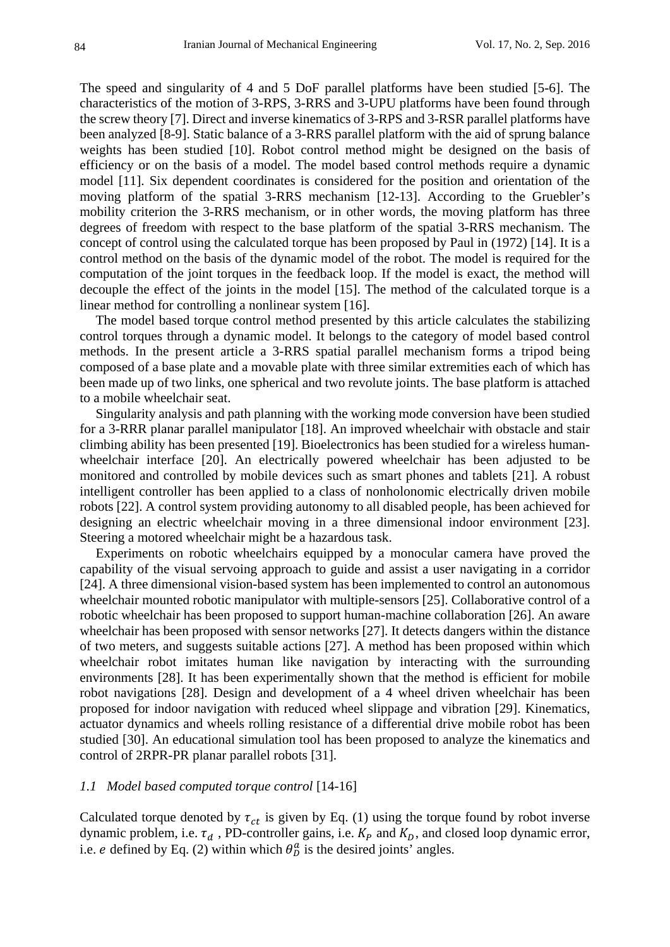The speed and singularity of 4 and 5 DoF parallel platforms have been studied [5-6]. The characteristics of the motion of 3-RPS, 3-RRS and 3-UPU platforms have been found through the screw theory [7]. Direct and inverse kinematics of 3-RPS and 3-RSR parallel platforms have been analyzed [8-9]. Static balance of a 3-RRS parallel platform with the aid of sprung balance weights has been studied [10]. Robot control method might be designed on the basis of efficiency or on the basis of a model. The model based control methods require a dynamic model [11]. Six dependent coordinates is considered for the position and orientation of the moving platform of the spatial 3-RRS mechanism [12-13]. According to the Gruebler's mobility criterion the 3-RRS mechanism, or in other words, the moving platform has three degrees of freedom with respect to the base platform of the spatial 3-RRS mechanism. The concept of control using the calculated torque has been proposed by Paul in (1972) [14]. It is a control method on the basis of the dynamic model of the robot. The model is required for the computation of the joint torques in the feedback loop. If the model is exact, the method will decouple the effect of the joints in the model [15]. The method of the calculated torque is a linear method for controlling a nonlinear system [16].

The model based torque control method presented by this article calculates the stabilizing control torques through a dynamic model. It belongs to the category of model based control methods. In the present article a 3-RRS spatial parallel mechanism forms a tripod being composed of a base plate and a movable plate with three similar extremities each of which has been made up of two links, one spherical and two revolute joints. The base platform is attached to a mobile wheelchair seat.

Singularity analysis and path planning with the working mode conversion have been studied for a 3-RRR planar parallel manipulator [18]. An improved wheelchair with obstacle and stair climbing ability has been presented [19]. Bioelectronics has been studied for a wireless humanwheelchair interface [20]. An electrically powered wheelchair has been adjusted to be monitored and controlled by mobile devices such as smart phones and tablets [21]. A robust intelligent controller has been applied to a class of nonholonomic electrically driven mobile robots [22]. A control system providing autonomy to all disabled people, has been achieved for designing an electric wheelchair moving in a three dimensional indoor environment [23]. Steering a motored wheelchair might be a hazardous task.

Experiments on robotic wheelchairs equipped by a monocular camera have proved the capability of the visual servoing approach to guide and assist a user navigating in a corridor [24]. A three dimensional vision-based system has been implemented to control an autonomous wheelchair mounted robotic manipulator with multiple-sensors [25]. Collaborative control of a robotic wheelchair has been proposed to support human-machine collaboration [26]. An aware wheelchair has been proposed with sensor networks [27]. It detects dangers within the distance of two meters, and suggests suitable actions [27]. A method has been proposed within which wheelchair robot imitates human like navigation by interacting with the surrounding environments [28]. It has been experimentally shown that the method is efficient for mobile robot navigations [28]. Design and development of a 4 wheel driven wheelchair has been proposed for indoor navigation with reduced wheel slippage and vibration [29]. Kinematics, actuator dynamics and wheels rolling resistance of a differential drive mobile robot has been studied [30]. An educational simulation tool has been proposed to analyze the kinematics and control of 2RPR-PR planar parallel robots [31].

#### *1.1 Model based computed torque control* [14-16]

Calculated torque denoted by  $\tau_{ct}$  is given by Eq. (1) using the torque found by robot inverse dynamic problem, i.e.  $\tau_d$ , PD-controller gains, i.e.  $K_p$  and  $K_p$ , and closed loop dynamic error, i.e. *e* defined by Eq. (2) within which  $\theta_p^a$  is the desired joints' angles.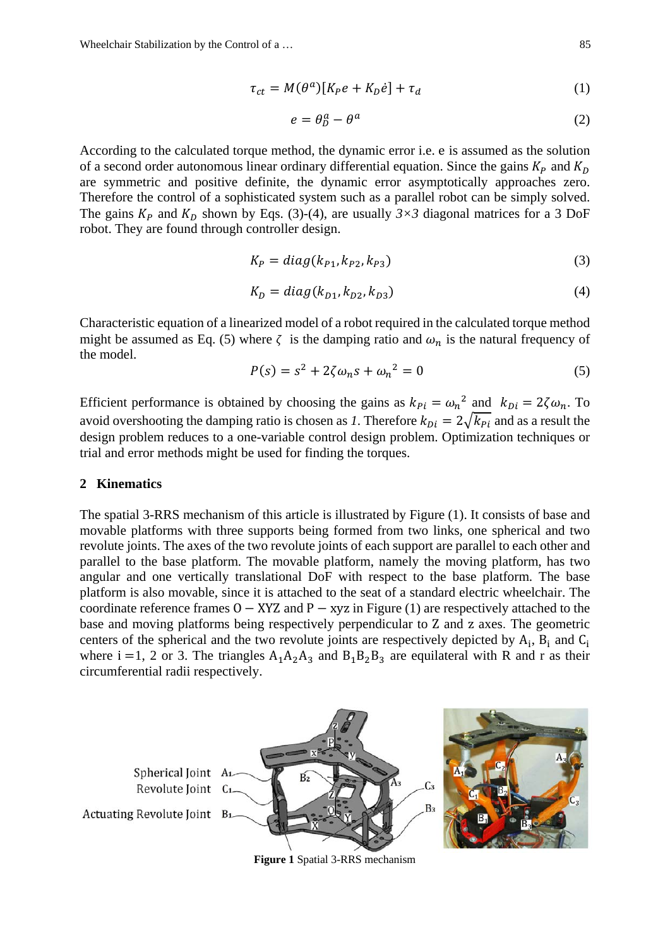$$
\tau_{ct} = M(\theta^a)[K_p e + K_p \dot{e}] + \tau_d \tag{1}
$$

$$
e = \theta_D^a - \theta^a \tag{2}
$$

According to the calculated torque method, the dynamic error i.e. e is assumed as the solution of a second order autonomous linear ordinary differential equation. Since the gains  $K_p$  and  $K_p$ are symmetric and positive definite, the dynamic error asymptotically approaches zero. Therefore the control of a sophisticated system such as a parallel robot can be simply solved. The gains  $K_P$  and  $K_D$  shown by Eqs. (3)-(4), are usually  $3 \times 3$  diagonal matrices for a 3 DoF robot. They are found through controller design.

$$
K_P = diag(k_{P1}, k_{P2}, k_{P3})
$$
\n
$$
(3)
$$

$$
K_D = diag(k_{D1}, k_{D2}, k_{D3})
$$
\n(4)

Characteristic equation of a linearized model of a robot required in the calculated torque method might be assumed as Eq. (5) where  $\zeta$  is the damping ratio and  $\omega_n$  is the natural frequency of the model.

$$
P(s) = s^2 + 2\zeta \omega_n s + \omega_n^2 = 0 \tag{5}
$$

Efficient performance is obtained by choosing the gains as  $k_{Pi} = \omega_n^2$  and  $k_{Di} = 2\zeta\omega_n$ . To avoid overshooting the damping ratio is chosen as *1*. Therefore  $k_{Di} = 2\sqrt{k_{Pi}}$  and as a result the design problem reduces to a one-variable control design problem. Optimization techniques or trial and error methods might be used for finding the torques.

### **2 Kinematics**

The spatial 3-RRS mechanism of this article is illustrated by Figure (1). It consists of base and movable platforms with three supports being formed from two links, one spherical and two revolute joints. The axes of the two revolute joints of each support are parallel to each other and parallel to the base platform. The movable platform, namely the moving platform, has two angular and one vertically translational DoF with respect to the base platform. The base platform is also movable, since it is attached to the seat of a standard electric wheelchair. The coordinate reference frames  $0 - XYZ$  and  $P - xyz$  in Figure (1) are respectively attached to the base and moving platforms being respectively perpendicular to Z and z axes. The geometric centers of the spherical and the two revolute joints are respectively depicted by  $A_i$ ,  $B_i$  and  $C_i$ where i =1, 2 or 3. The triangles  $A_1A_2A_3$  and  $B_1B_2B_3$  are equilateral with R and r as their circumferential radii respectively.



**Figure 1** Spatial 3-RRS mechanism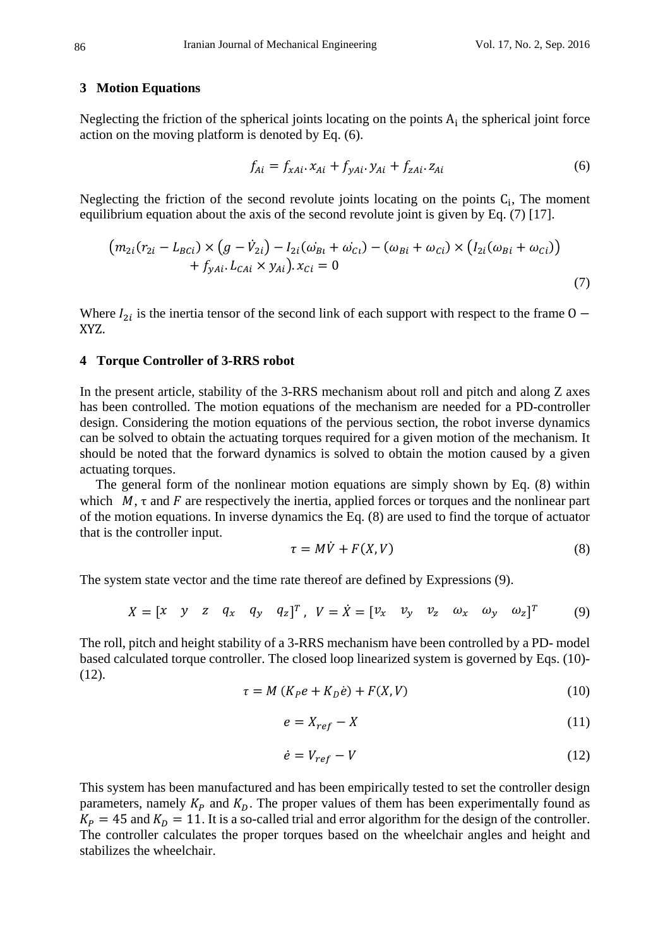#### **3 Motion Equations**

Neglecting the friction of the spherical joints locating on the points  $A_i$  the spherical joint force action on the moving platform is denoted by Eq. (6).

$$
f_{Ai} = f_{xAi} \cdot x_{Ai} + f_{yAi} \cdot y_{Ai} + f_{zAi} \cdot z_{Ai}
$$
 (6)

Neglecting the friction of the second revolute joints locating on the points  $C_i$ , The moment equilibrium equation about the axis of the second revolute joint is given by Eq. (7) [17].

$$
(m_{2i}(r_{2i} - L_{BCi}) \times (g - \dot{V}_{2i}) - I_{2i}(\omega_{Bi} + \omega_{Ci}) - (\omega_{Bi} + \omega_{Ci}) \times (I_{2i}(\omega_{Bi} + \omega_{Ci}))
$$
  
+  $f_{yAi}L_{CAi} \times y_{Ai})\cdot x_{Ci} = 0$  (7)

Where  $I_{2i}$  is the inertia tensor of the second link of each support with respect to the frame O – XYZ.

## **4 Torque Controller of 3-RRS robot**

In the present article, stability of the 3-RRS mechanism about roll and pitch and along Z axes has been controlled. The motion equations of the mechanism are needed for a PD-controller design. Considering the motion equations of the pervious section, the robot inverse dynamics can be solved to obtain the actuating torques required for a given motion of the mechanism. It should be noted that the forward dynamics is solved to obtain the motion caused by a given actuating torques.

The general form of the nonlinear motion equations are simply shown by Eq. (8) within which  $M$ ,  $\tau$  and  $F$  are respectively the inertia, applied forces or torques and the nonlinear part of the motion equations. In inverse dynamics the Eq. (8) are used to find the torque of actuator that is the controller input.

$$
\tau = M\dot{V} + F(X, V) \tag{8}
$$

The system state vector and the time rate thereof are defined by Expressions (9).

$$
X = \begin{bmatrix} x & y & z & q_x & q_y & q_z \end{bmatrix}^T, \quad V = \dot{X} = \begin{bmatrix} v_x & v_y & v_z & \omega_x & \omega_y & \omega_z \end{bmatrix}^T \tag{9}
$$

The roll, pitch and height stability of a 3-RRS mechanism have been controlled by a PD- model based calculated torque controller. The closed loop linearized system is governed by Eqs. (10)- (12).

$$
\tau = M (K_P e + K_D \dot{e}) + F(X, V) \tag{10}
$$

$$
e = X_{ref} - X \tag{11}
$$

$$
\dot{e} = V_{ref} - V \tag{12}
$$

This system has been manufactured and has been empirically tested to set the controller design parameters, namely  $K_p$  and  $K_p$ . The proper values of them has been experimentally found as  $K_P = 45$  and  $K_D = 11$ . It is a so-called trial and error algorithm for the design of the controller. The controller calculates the proper torques based on the wheelchair angles and height and stabilizes the wheelchair.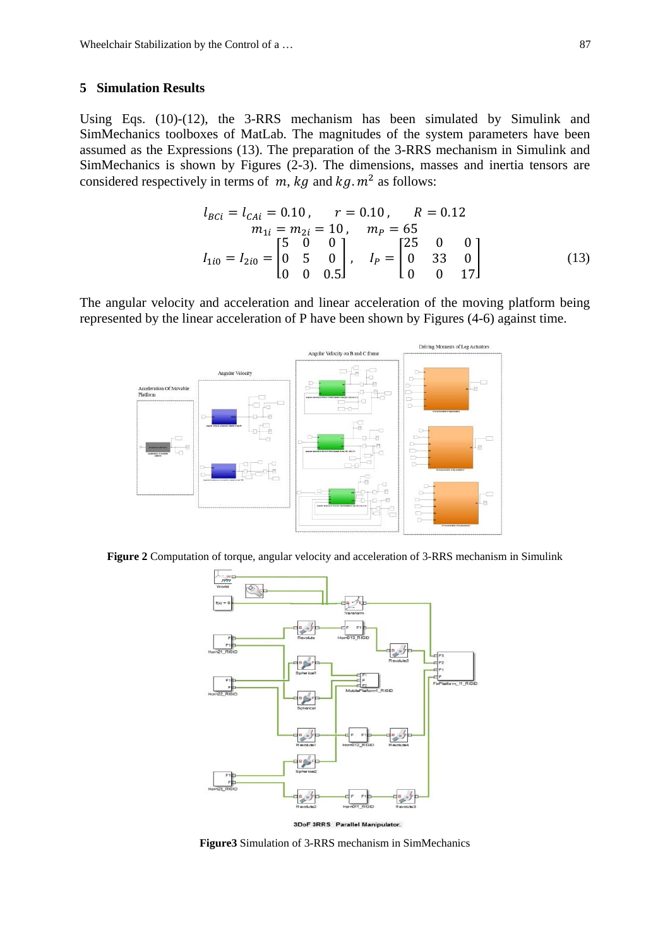#### **5 Simulation Results**

Using Eqs. (10)-(12), the 3-RRS mechanism has been simulated by Simulink and SimMechanics toolboxes of MatLab. The magnitudes of the system parameters have been assumed as the Expressions (13). The preparation of the 3-RRS mechanism in Simulink and SimMechanics is shown by Figures (2-3). The dimensions, masses and inertia tensors are considered respectively in terms of  $m$ ,  $kg$  and  $kg$ .  $m<sup>2</sup>$  as follows:

$$
l_{BCi} = l_{CAi} = 0.10, \t r = 0.10, \t R = 0.12
$$
  
\n
$$
m_{1i} = m_{2i} = 10, \t m_P = 65
$$
  
\n
$$
l_{1i0} = l_{2i0} = \begin{bmatrix} 5 & 0 & 0 \\ 0 & 5 & 0 \\ 0 & 0 & 0.5 \end{bmatrix}, \t l_P = \begin{bmatrix} 25 & 0 & 0 \\ 0 & 33 & 0 \\ 0 & 0 & 17 \end{bmatrix}
$$
 (13)

The angular velocity and acceleration and linear acceleration of the moving platform being represented by the linear acceleration of P have been shown by Figures (4-6) against time.



**Figure 2** Computation of torque, angular velocity and acceleration of 3-RRS mechanism in Simulink



**Figure3** Simulation of 3-RRS mechanism in SimMechanics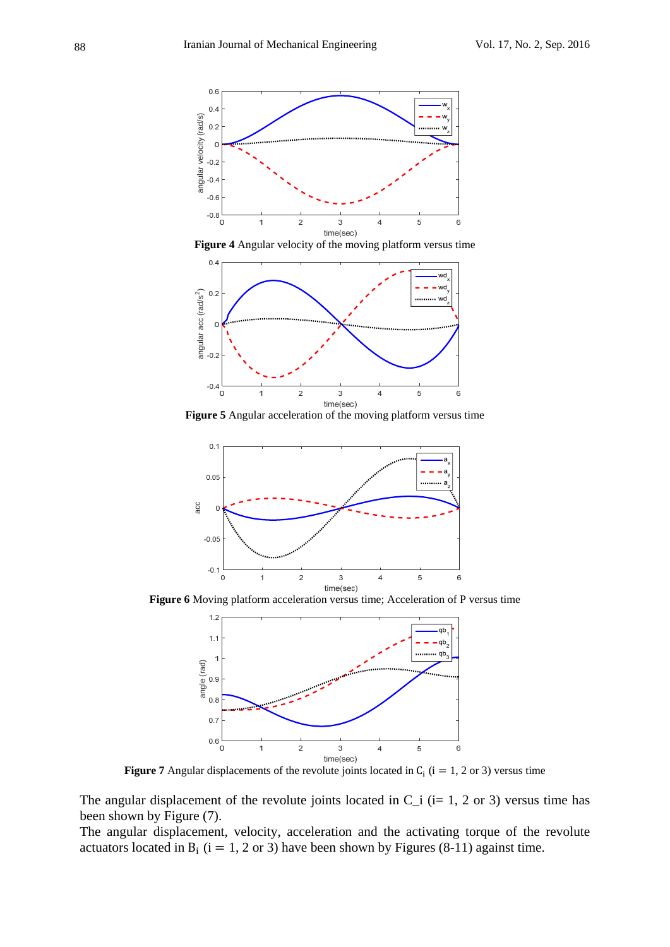

**Figure 4** Angular velocity of the moving platform versus time



**Figure 5** Angular acceleration of the moving platform versus time



**Figure 6** Moving platform acceleration versus time; Acceleration of P versus time



**Figure 7** Angular displacements of the revolute joints located in  $C_i$  ( $i = 1, 2$  or 3) versus time

The angular displacement of the revolute joints located in  $C_i$  (i= 1, 2 or 3) versus time has been shown by Figure (7).

The angular displacement, velocity, acceleration and the activating torque of the revolute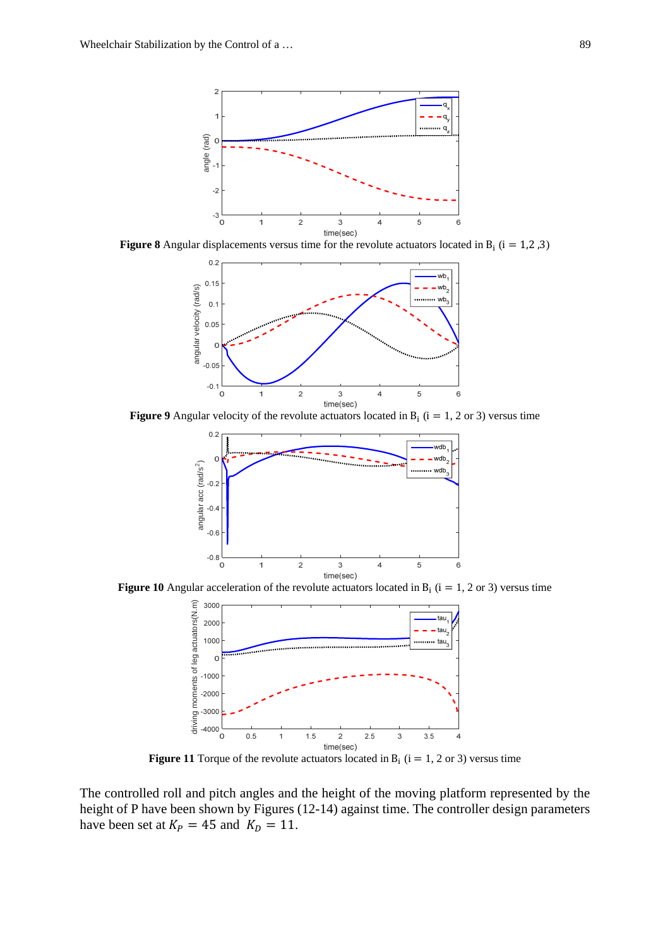

**Figure 8** Angular displacements versus time for the revolute actuators located in B<sub>i</sub> (i = 1,2,3)



**Figure 9** Angular velocity of the revolute actuators located in  $B_i$  (i = 1, 2 or 3) versus time



**Figure 10** Angular acceleration of the revolute actuators located in  $B_i$  (i = 1, 2 or 3) versus time



**Figure 11** Torque of the revolute actuators located in  $B_i$  (i = 1, 2 or 3) versus time

The controlled roll and pitch angles and the height of the moving platform represented by the height of P have been shown by Figures (12-14) against time. The controller design parameters have been set at  $K_p = 45$  and  $K_p = 11$ .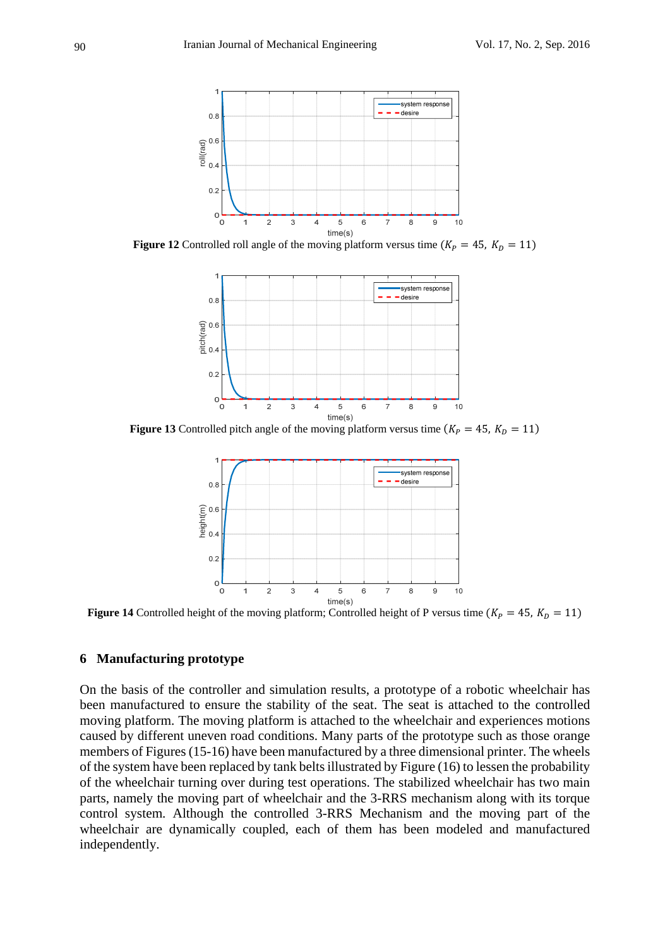

**Figure 12** Controlled roll angle of the moving platform versus time  $(K_P = 45, K_D = 11)$ 



**Figure 13** Controlled pitch angle of the moving platform versus time  $(K_P = 45, K_D = 11)$ 



**Figure 14** Controlled height of the moving platform; Controlled height of P versus time  $(K_P = 45, K_D = 11)$ 

## **6 Manufacturing prototype**

On the basis of the controller and simulation results, a prototype of a robotic wheelchair has been manufactured to ensure the stability of the seat. The seat is attached to the controlled moving platform. The moving platform is attached to the wheelchair and experiences motions caused by different uneven road conditions. Many parts of the prototype such as those orange members of Figures (15-16) have been manufactured by a three dimensional printer. The wheels of the system have been replaced by tank belts illustrated by Figure (16) to lessen the probability of the wheelchair turning over during test operations. The stabilized wheelchair has two main parts, namely the moving part of wheelchair and the 3-RRS mechanism along with its torque control system. Although the controlled 3-RRS Mechanism and the moving part of the wheelchair are dynamically coupled, each of them has been modeled and manufactured independently.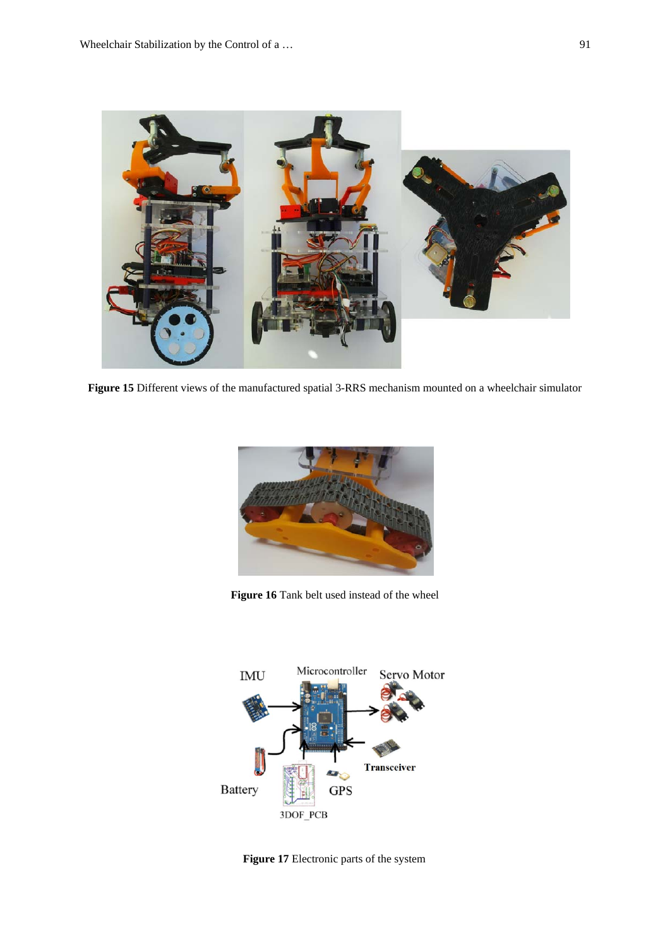

**Figure 15** Different views of the manufactured spatial 3-RRS mechanism mounted on a wheelchair simulator



**Figure 16** Tank belt used instead of the wheel



**Figure 17** Electronic parts of the system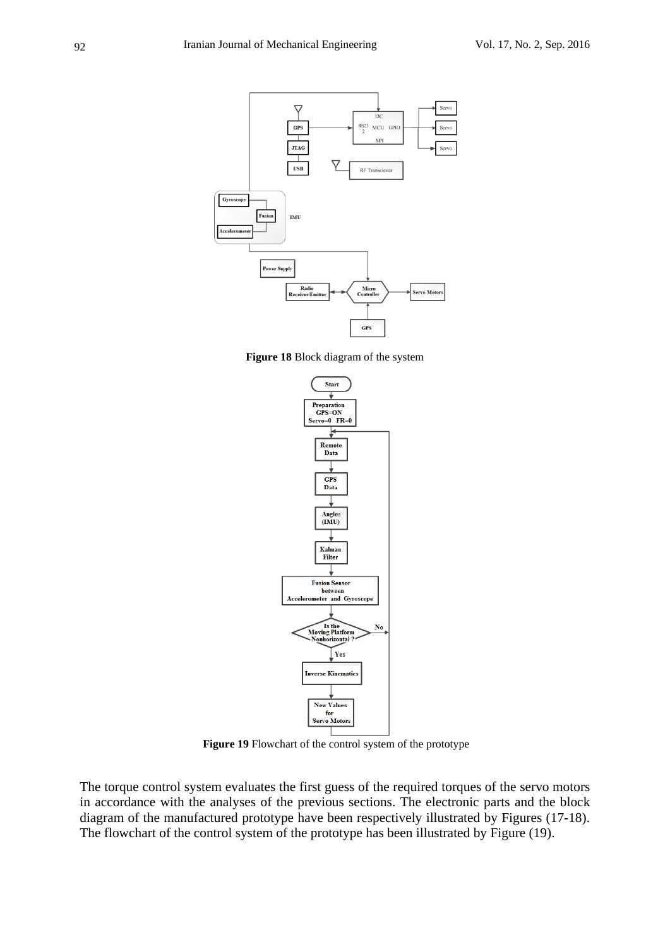

**Figure 18** Block diagram of the system



**Figure 19** Flowchart of the control system of the prototype

The torque control system evaluates the first guess of the required torques of the servo motors in accordance with the analyses of the previous sections. The electronic parts and the block diagram of the manufactured prototype have been respectively illustrated by Figures (17-18). The flowchart of the control system of the prototype has been illustrated by Figure (19).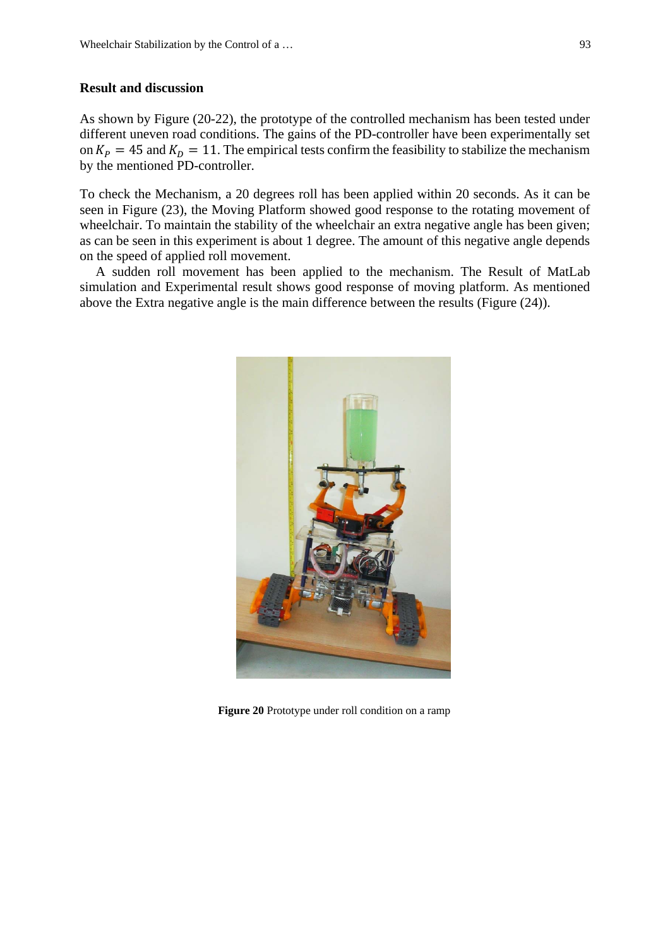#### **Result and discussion**

As shown by Figure (20-22), the prototype of the controlled mechanism has been tested under different uneven road conditions. The gains of the PD-controller have been experimentally set on  $K_p = 45$  and  $K_p = 11$ . The empirical tests confirm the feasibility to stabilize the mechanism by the mentioned PD-controller.

To check the Mechanism, a 20 degrees roll has been applied within 20 seconds. As it can be seen in Figure (23), the Moving Platform showed good response to the rotating movement of wheelchair. To maintain the stability of the wheelchair an extra negative angle has been given; as can be seen in this experiment is about 1 degree. The amount of this negative angle depends on the speed of applied roll movement.

A sudden roll movement has been applied to the mechanism. The Result of MatLab simulation and Experimental result shows good response of moving platform. As mentioned above the Extra negative angle is the main difference between the results (Figure (24)).



**Figure 20** Prototype under roll condition on a ramp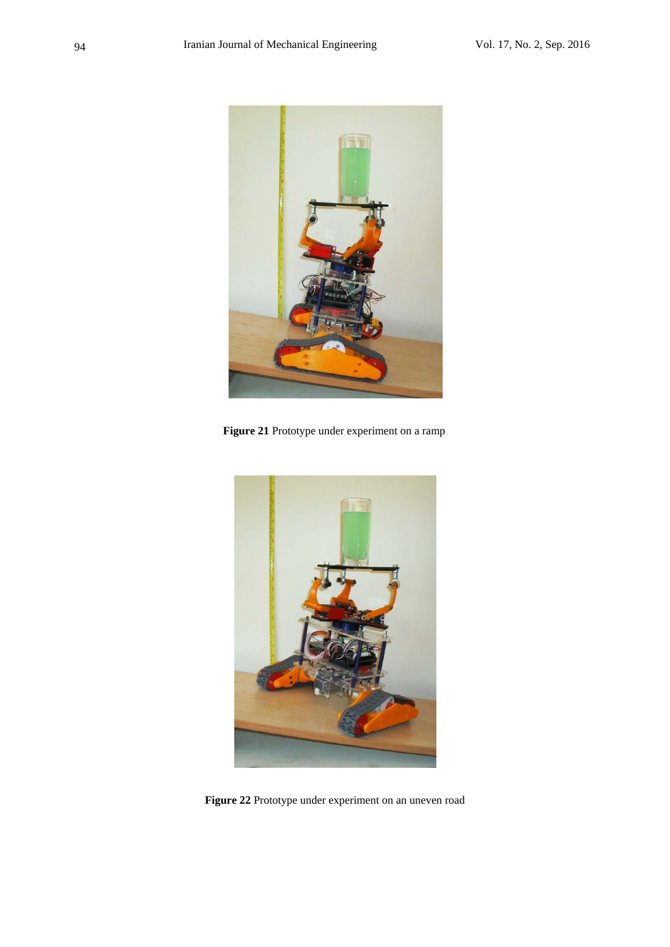

**Figure 21** Prototype under experiment on a ramp



**Figure 22** Prototype under experiment on an uneven road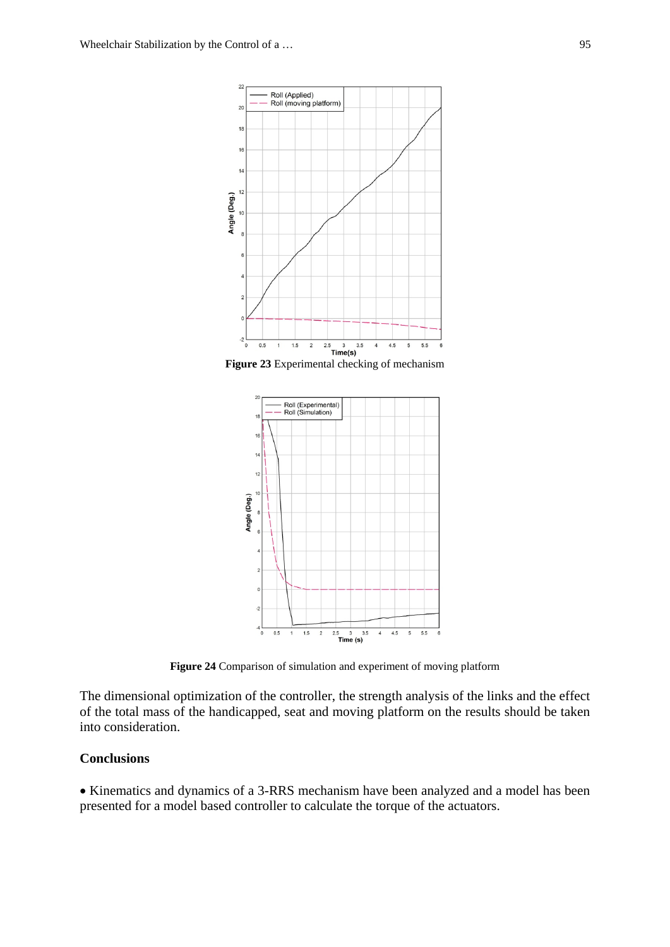

**Figure 23** Experimental checking of mechanism



**Figure 24** Comparison of simulation and experiment of moving platform

The dimensional optimization of the controller, the strength analysis of the links and the effect of the total mass of the handicapped, seat and moving platform on the results should be taken into consideration.

# **Conclusions**

• Kinematics and dynamics of a 3-RRS mechanism have been analyzed and a model has been presented for a model based controller to calculate the torque of the actuators.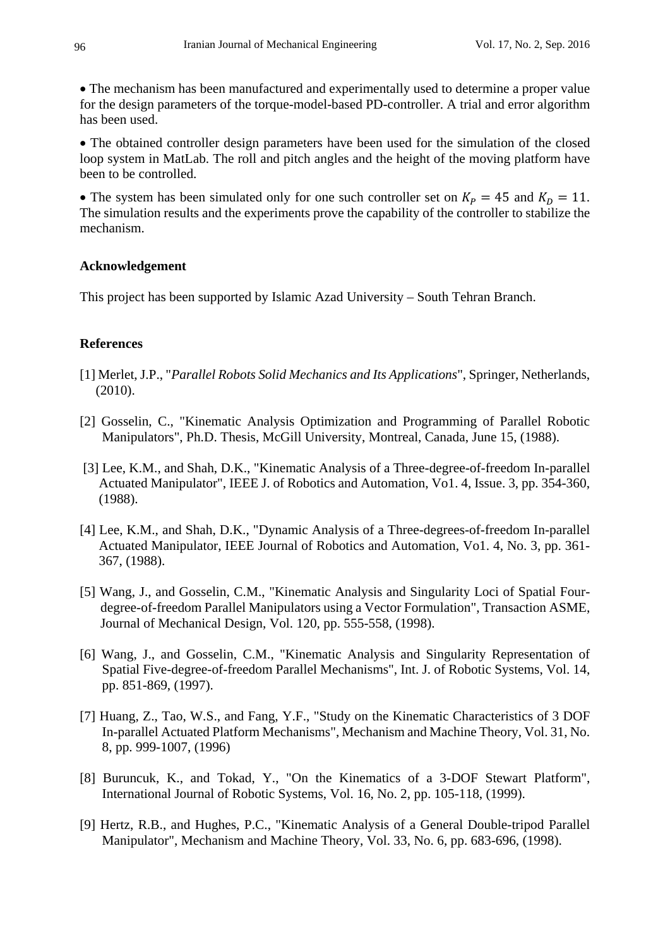The mechanism has been manufactured and experimentally used to determine a proper value for the design parameters of the torque-model-based PD-controller. A trial and error algorithm has been used.

• The obtained controller design parameters have been used for the simulation of the closed loop system in MatLab. The roll and pitch angles and the height of the moving platform have been to be controlled.

• The system has been simulated only for one such controller set on  $K_p = 45$  and  $K_p = 11$ . The simulation results and the experiments prove the capability of the controller to stabilize the mechanism.

## **Acknowledgement**

This project has been supported by Islamic Azad University – South Tehran Branch.

# **References**

- [1] Merlet, J.P., "*Parallel Robots Solid Mechanics and Its Applications*", Springer, Netherlands, (2010).
- [2] Gosselin, C., "Kinematic Analysis Optimization and Programming of Parallel Robotic Manipulators", Ph.D. Thesis, McGill University, Montreal, Canada, June 15, (1988).
- [3] Lee, K.M., and Shah, D.K., "Kinematic Analysis of a Three-degree-of-freedom In-parallel Actuated Manipulator", IEEE J. of Robotics and Automation, Vo1. 4, Issue. 3, pp. 354-360, (1988).
- [4] Lee, K.M., and Shah, D.K., "Dynamic Analysis of a Three-degrees-of-freedom In-parallel Actuated Manipulator, IEEE Journal of Robotics and Automation, Vo1. 4, No. 3, pp. 361- 367, (1988).
- [5] Wang, J., and Gosselin, C.M., "Kinematic Analysis and Singularity Loci of Spatial Fourdegree-of-freedom Parallel Manipulators using a Vector Formulation", Transaction ASME, Journal of Mechanical Design, Vol. 120, pp. 555-558, (1998).
- [6] Wang, J., and Gosselin, C.M., "Kinematic Analysis and Singularity Representation of Spatial Five-degree-of-freedom Parallel Mechanisms", Int. J. of Robotic Systems, Vol. 14, pp. 851-869, (1997).
- [7] Huang, Z., Tao, W.S., and Fang, Y.F., "Study on the Kinematic Characteristics of 3 DOF In-parallel Actuated Platform Mechanisms", Mechanism and Machine Theory, Vol. 31, No. 8, pp. 999-1007, (1996)
- [8] Buruncuk, K., and Tokad, Y., "On the Kinematics of a 3-DOF Stewart Platform", International Journal of Robotic Systems, Vol. 16, No. 2, pp. 105-118, (1999).
- [9] Hertz, R.B., and Hughes, P.C., "Kinematic Analysis of a General Double-tripod Parallel Manipulator", Mechanism and Machine Theory, Vol. 33, No. 6, pp. 683-696, (1998).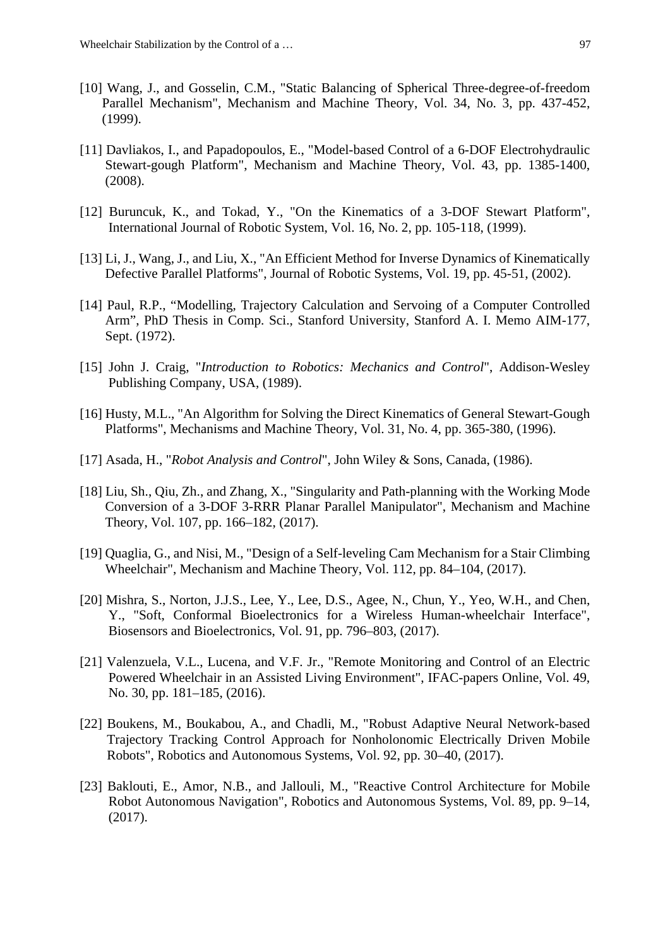- [10] Wang, J., and Gosselin, C.M., "Static Balancing of Spherical Three-degree-of-freedom Parallel Mechanism", Mechanism and Machine Theory, Vol. 34, No. 3, pp. 437-452, (1999).
- [11] Davliakos, I., and Papadopoulos, E., "Model-based Control of a 6-DOF Electrohydraulic Stewart-gough Platform", Mechanism and Machine Theory, Vol. 43, pp. 1385-1400, (2008).
- [12] Buruncuk, K., and Tokad, Y., "On the Kinematics of a 3-DOF Stewart Platform", International Journal of Robotic System, Vol. 16, No. 2, pp. 105-118, (1999).
- [13] Li, J., Wang, J., and Liu, X., "An Efficient Method for Inverse Dynamics of Kinematically Defective Parallel Platforms", Journal of Robotic Systems, Vol. 19, pp. 45-51, (2002).
- [14] Paul, R.P., "Modelling, Trajectory Calculation and Servoing of a Computer Controlled Arm", PhD Thesis in Comp. Sci., Stanford University, Stanford A. I. Memo AIM-177, Sept. (1972).
- [15] John J. Craig, "*Introduction to Robotics: Mechanics and Control*", Addison-Wesley Publishing Company, USA, (1989).
- [16] Husty, M.L., "An Algorithm for Solving the Direct Kinematics of General Stewart-Gough Platforms", Mechanisms and Machine Theory, Vol. 31, No. 4, pp. 365-380, (1996).
- [17] Asada, H., "*Robot Analysis and Control*", John Wiley & Sons, Canada, (1986).
- [18] Liu, Sh., Qiu, Zh., and Zhang, X., "Singularity and Path-planning with the Working Mode Conversion of a 3-DOF 3-RRR Planar Parallel Manipulator", Mechanism and Machine Theory, Vol. 107, pp. 166–182, (2017).
- [19] Quaglia, G., and Nisi, M., "Design of a Self-leveling Cam Mechanism for a Stair Climbing Wheelchair", Mechanism and Machine Theory, Vol. 112, pp. 84–104, (2017).
- [20] Mishra, S., Norton, J.J.S., Lee, Y., Lee, D.S., Agee, N., Chun, Y., Yeo, W.H., and Chen, Y., "Soft, Conformal Bioelectronics for a Wireless Human-wheelchair Interface", Biosensors and Bioelectronics, Vol. 91, pp. 796–803, (2017).
- [21] Valenzuela, V.L., Lucena, and V.F. Jr., "Remote Monitoring and Control of an Electric Powered Wheelchair in an Assisted Living Environment", IFAC-papers Online, Vol. 49, No. 30, pp. 181–185, (2016).
- [22] Boukens, M., Boukabou, A., and Chadli, M., "Robust Adaptive Neural Network-based Trajectory Tracking Control Approach for Nonholonomic Electrically Driven Mobile Robots", Robotics and Autonomous Systems, Vol. 92, pp. 30–40, (2017).
- [23] Baklouti, E., Amor, N.B., and Jallouli, M., "Reactive Control Architecture for Mobile Robot Autonomous Navigation", Robotics and Autonomous Systems, Vol. 89, pp. 9–14, (2017).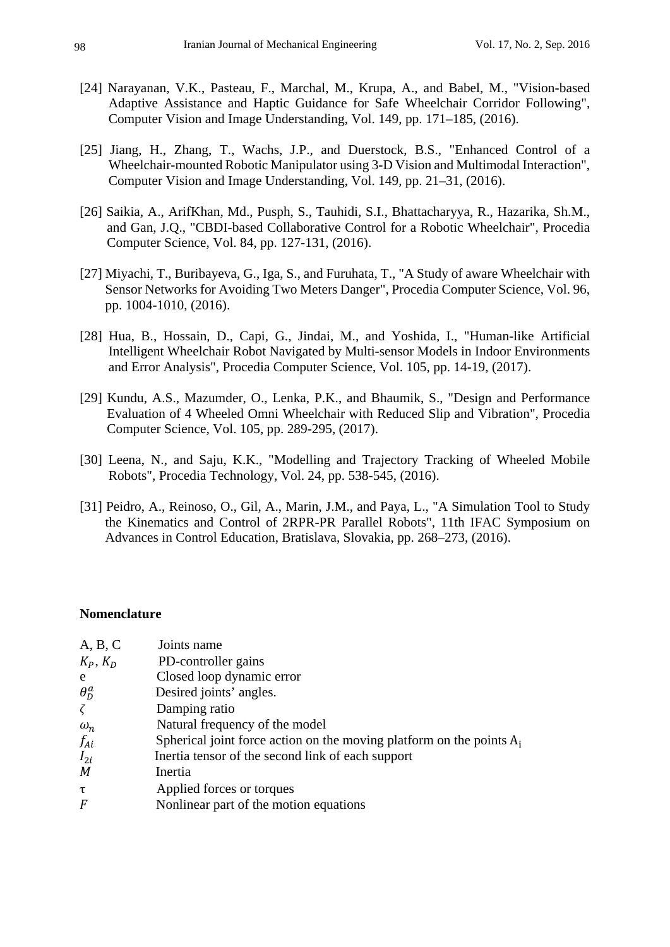- [24] Narayanan, V.K., Pasteau, F., Marchal, M., Krupa, A., and Babel, M., "Vision-based Adaptive Assistance and Haptic Guidance for Safe Wheelchair Corridor Following", Computer Vision and Image Understanding, Vol. 149, pp. 171–185, (2016).
- [25] Jiang, H., Zhang, T., Wachs, J.P., and Duerstock, B.S., "Enhanced Control of a Wheelchair-mounted Robotic Manipulator using 3-D Vision and Multimodal Interaction", Computer Vision and Image Understanding, Vol. 149, pp. 21–31, (2016).
- [26] Saikia, A., ArifKhan, Md., Pusph, S., Tauhidi, S.I., Bhattacharyya, R., Hazarika, Sh.M., and Gan, J.Q., "CBDI-based Collaborative Control for a Robotic Wheelchair", Procedia Computer Science, Vol. 84, pp. 127-131, (2016).
- [27] Miyachi, T., Buribayeva, G., Iga, S., and Furuhata, T., "A Study of aware Wheelchair with Sensor Networks for Avoiding Two Meters Danger", Procedia Computer Science, Vol. 96, pp. 1004-1010, (2016).
- [28] Hua, B., Hossain, D., Capi, G., Jindai, M., and Yoshida, I., "Human-like Artificial Intelligent Wheelchair Robot Navigated by Multi-sensor Models in Indoor Environments and Error Analysis", Procedia Computer Science, Vol. 105, pp. 14-19, (2017).
- [29] Kundu, A.S., Mazumder, O., Lenka, P.K., and Bhaumik, S., "Design and Performance Evaluation of 4 Wheeled Omni Wheelchair with Reduced Slip and Vibration", Procedia Computer Science, Vol. 105, pp. 289-295, (2017).
- [30] Leena, N., and Saju, K.K., "Modelling and Trajectory Tracking of Wheeled Mobile Robots", Procedia Technology, Vol. 24, pp. 538-545, (2016).
- [31] Peidro, A., Reinoso, O., Gil, A., Marin, J.M., and Paya, L., "A Simulation Tool to Study the Kinematics and Control of 2RPR-PR Parallel Robots", 11th IFAC Symposium on Advances in Control Education, Bratislava, Slovakia, pp. 268–273, (2016).

#### **Nomenclature**

| A, B, C          | Joints name                                                             |
|------------------|-------------------------------------------------------------------------|
| $K_P, K_D$       | PD-controller gains                                                     |
| e                | Closed loop dynamic error                                               |
| $\theta_n^a$     | Desired joints' angles.                                                 |
| $\zeta$          | Damping ratio                                                           |
| $\omega_n$       | Natural frequency of the model                                          |
| f <sub>Ai</sub>  | Spherical joint force action on the moving platform on the points $A_i$ |
| $I_{2i}$         | Inertia tensor of the second link of each support                       |
| $\boldsymbol{M}$ | Inertia                                                                 |
| τ                | Applied forces or torques                                               |
| $\overline{F}$   | Nonlinear part of the motion equations                                  |